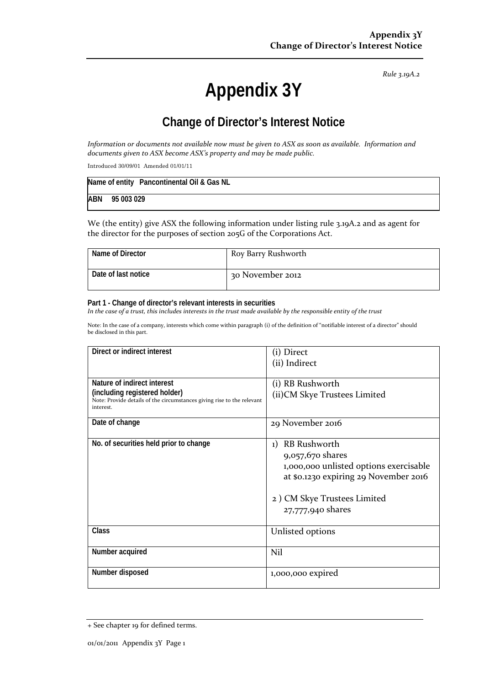*Rule 3.19A.2*

# **Appendix 3Y**

## **Change of Director's Interest Notice**

Information or documents not available now must be given to ASX as soon as available. Information and *documents given to ASX become ASX's property and may be made public.*

Introduced 30/09/01 Amended 01/01/11

|     | Name of entity Pancontinental Oil & Gas NL |
|-----|--------------------------------------------|
| ABN | 95 003 029                                 |

We (the entity) give ASX the following information under listing rule 3.19A.2 and as agent for the director for the purposes of section 205G of the Corporations Act.

| Name of Director    | Roy Barry Rushworth |
|---------------------|---------------------|
| Date of last notice | 30 November 2012    |

#### **Part 1 - Change of director's relevant interests in securities**

In the case of a trust, this includes interests in the trust made available by the responsible entity of the trust

Note: In the case of a company, interests which come within paragraph (i) of the definition of "notifiable interest of a director" should be disclosed in this part.

| Direct or indirect interest                                                                                                                         | (i) Direct<br>(ii) Indirect                                                                                                                                                              |
|-----------------------------------------------------------------------------------------------------------------------------------------------------|------------------------------------------------------------------------------------------------------------------------------------------------------------------------------------------|
| Nature of indirect interest<br>(including registered holder)<br>Note: Provide details of the circumstances giving rise to the relevant<br>interest. | (i) RB Rushworth<br>(ii)CM Skye Trustees Limited                                                                                                                                         |
| Date of change                                                                                                                                      | 29 November 2016                                                                                                                                                                         |
| No. of securities held prior to change                                                                                                              | <b>RB</b> Rushworth<br>$_{1}$<br>9,057,670 shares<br>1,000,000 unlisted options exercisable<br>at \$0.1230 expiring 29 November 2016<br>2) CM Skye Trustees Limited<br>27,777,940 shares |
| Class                                                                                                                                               | Unlisted options                                                                                                                                                                         |
| Number acquired                                                                                                                                     | Nil                                                                                                                                                                                      |
| Number disposed                                                                                                                                     | 1,000,000 expired                                                                                                                                                                        |

<sup>+</sup> See chapter 19 for defined terms.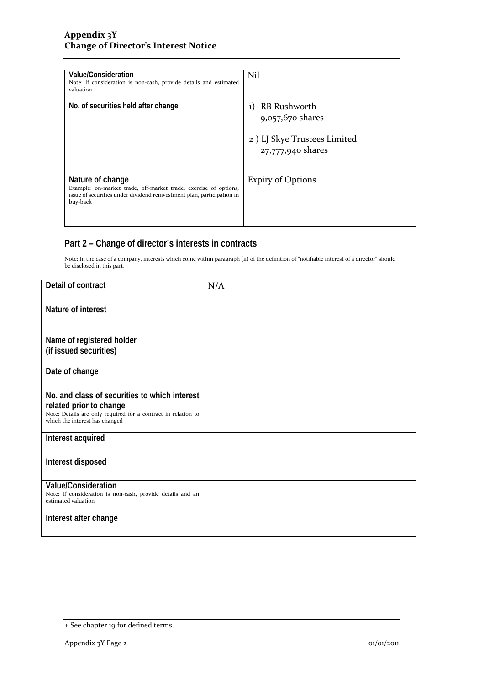| Value/Consideration<br>Note: If consideration is non-cash, provide details and estimated<br>valuation                                                                      | Nil                                                                                     |
|----------------------------------------------------------------------------------------------------------------------------------------------------------------------------|-----------------------------------------------------------------------------------------|
| No. of securities held after change                                                                                                                                        | 1) RB Rushworth<br>9,057,670 shares<br>2) LJ Skye Trustees Limited<br>27,777,940 shares |
| Nature of change<br>Example: on-market trade, off-market trade, exercise of options,<br>issue of securities under dividend reinvestment plan, participation in<br>buy-back | <b>Expiry of Options</b>                                                                |

### **Part 2 – Change of director's interests in contracts**

Note: In the case of a company, interests which come within paragraph (ii) of the definition of "notifiable interest of a director" should be disclosed in this part.

| Detail of contract                                                                                                                                                          | N/A |
|-----------------------------------------------------------------------------------------------------------------------------------------------------------------------------|-----|
| Nature of interest                                                                                                                                                          |     |
| Name of registered holder<br>(if issued securities)                                                                                                                         |     |
| Date of change                                                                                                                                                              |     |
| No. and class of securities to which interest<br>related prior to change<br>Note: Details are only required for a contract in relation to<br>which the interest has changed |     |
| Interest acquired                                                                                                                                                           |     |
| Interest disposed                                                                                                                                                           |     |
| Value/Consideration<br>Note: If consideration is non-cash, provide details and an<br>estimated valuation                                                                    |     |
| Interest after change                                                                                                                                                       |     |

<sup>+</sup> See chapter 19 for defined terms.